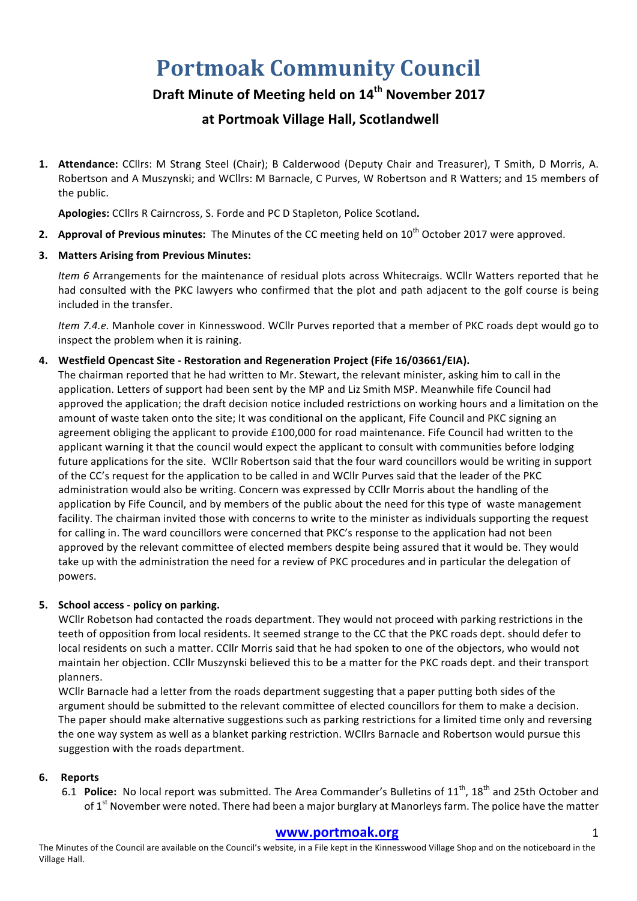# **Portmoak Community Council**

# **Draft Minute of Meeting held on 14th November 2017**

# **at Portmoak Village Hall, Scotlandwell**

1. Attendance: CCllrs: M Strang Steel (Chair); B Calderwood (Deputy Chair and Treasurer), T Smith, D Morris, A. Robertson and A Muszynski; and WCllrs: M Barnacle, C Purves, W Robertson and R Watters; and 15 members of the public.

**Apologies:** CCllrs R Cairncross, S. Forde and PC D Stapleton, Police Scotland**.**

- **2. Approval of Previous minutes:** The Minutes of the CC meeting held on 10<sup>th</sup> October 2017 were approved.
- **3. Matters Arising from Previous Minutes:**

*Item* 6 Arrangements for the maintenance of residual plots across Whitecraigs. WCllr Watters reported that he had consulted with the PKC lawyers who confirmed that the plot and path adjacent to the golf course is being included in the transfer.

*Item 7.4.e.* Manhole cover in Kinnesswood. WCllr Purves reported that a member of PKC roads dept would go to inspect the problem when it is raining.

**4. Westfield Opencast Site - Restoration and Regeneration Project (Fife 16/03661/EIA).**

The chairman reported that he had written to Mr. Stewart, the relevant minister, asking him to call in the application. Letters of support had been sent by the MP and Liz Smith MSP. Meanwhile fife Council had approved the application; the draft decision notice included restrictions on working hours and a limitation on the amount of waste taken onto the site; It was conditional on the applicant, Fife Council and PKC signing an agreement obliging the applicant to provide £100,000 for road maintenance. Fife Council had written to the applicant warning it that the council would expect the applicant to consult with communities before lodging future applications for the site. WCllr Robertson said that the four ward councillors would be writing in support of the CC's request for the application to be called in and WCllr Purves said that the leader of the PKC administration would also be writing. Concern was expressed by CCllr Morris about the handling of the application by Fife Council, and by members of the public about the need for this type of waste management facility. The chairman invited those with concerns to write to the minister as individuals supporting the request for calling in. The ward councillors were concerned that PKC's response to the application had not been approved by the relevant committee of elected members despite being assured that it would be. They would take up with the administration the need for a review of PKC procedures and in particular the delegation of powers.

# **5. School access - policy on parking.**

WCllr Robetson had contacted the roads department. They would not proceed with parking restrictions in the teeth of opposition from local residents. It seemed strange to the CC that the PKC roads dept. should defer to local residents on such a matter. CCllr Morris said that he had spoken to one of the objectors, who would not maintain her objection. CCllr Muszynski believed this to be a matter for the PKC roads dept. and their transport planners.

WCIIr Barnacle had a letter from the roads department suggesting that a paper putting both sides of the argument should be submitted to the relevant committee of elected councillors for them to make a decision. The paper should make alternative suggestions such as parking restrictions for a limited time only and reversing the one way system as well as a blanket parking restriction. WCllrs Barnacle and Robertson would pursue this suggestion with the roads department.

# **6. Reports**

6.1 **Police:** No local report was submitted. The Area Commander's Bulletins of 11<sup>th</sup>, 18<sup>th</sup> and 25th October and of  $1<sup>st</sup>$  November were noted. There had been a major burglary at Manorleys farm. The police have the matter

# **www.portmoak.org** 1

The Minutes of the Council are available on the Council's website, in a File kept in the Kinnesswood Village Shop and on the noticeboard in the Village Hall.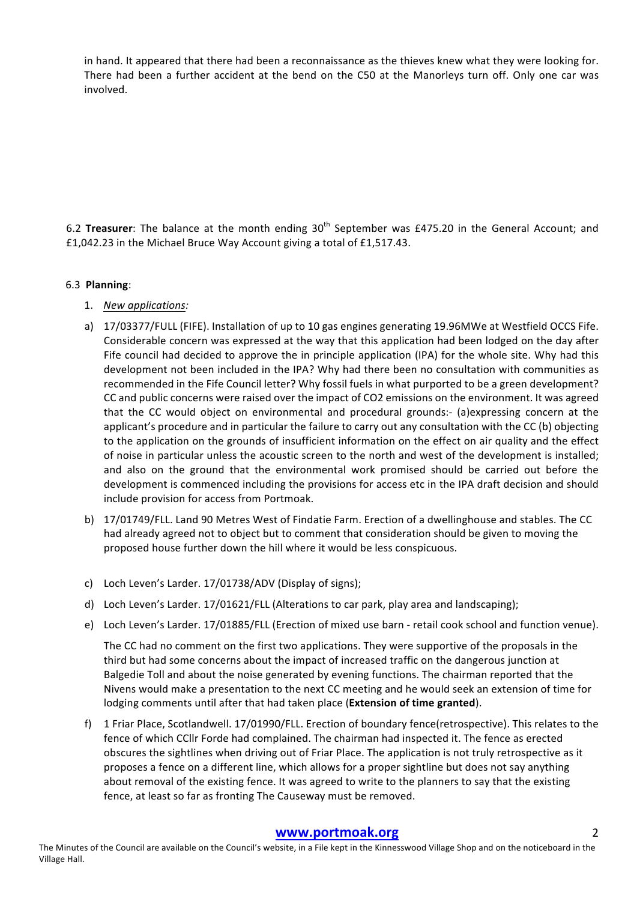in hand. It appeared that there had been a reconnaissance as the thieves knew what they were looking for. There had been a further accident at the bend on the C50 at the Manorleys turn off. Only one car was involved.

6.2 Treasurer: The balance at the month ending 30<sup>th</sup> September was £475.20 in the General Account; and £1,042.23 in the Michael Bruce Way Account giving a total of £1,517.43.

#### 6.3 **Planning**:

- 1. *New applications:*
- a) 17/03377/FULL (FIFE). Installation of up to 10 gas engines generating 19.96MWe at Westfield OCCS Fife. Considerable concern was expressed at the way that this application had been lodged on the day after Fife council had decided to approve the in principle application (IPA) for the whole site. Why had this development not been included in the IPA? Why had there been no consultation with communities as recommended in the Fife Council letter? Why fossil fuels in what purported to be a green development? CC and public concerns were raised over the impact of CO2 emissions on the environment. It was agreed that the CC would object on environmental and procedural grounds:- (a)expressing concern at the applicant's procedure and in particular the failure to carry out any consultation with the CC (b) objecting to the application on the grounds of insufficient information on the effect on air quality and the effect of noise in particular unless the acoustic screen to the north and west of the development is installed; and also on the ground that the environmental work promised should be carried out before the development is commenced including the provisions for access etc in the IPA draft decision and should include provision for access from Portmoak.
- b) 17/01749/FLL. Land 90 Metres West of Findatie Farm. Erection of a dwellinghouse and stables. The CC had already agreed not to object but to comment that consideration should be given to moving the proposed house further down the hill where it would be less conspicuous.
- c) Loch Leven's Larder. 17/01738/ADV (Display of signs);
- d) Loch Leven's Larder. 17/01621/FLL (Alterations to car park, play area and landscaping);
- e) Loch Leven's Larder. 17/01885/FLL (Erection of mixed use barn retail cook school and function venue).

The CC had no comment on the first two applications. They were supportive of the proposals in the third but had some concerns about the impact of increased traffic on the dangerous junction at Balgedie Toll and about the noise generated by evening functions. The chairman reported that the Nivens would make a presentation to the next CC meeting and he would seek an extension of time for lodging comments until after that had taken place (**Extension of time granted**).

f) 1 Friar Place, Scotlandwell. 17/01990/FLL. Erection of boundary fence(retrospective). This relates to the fence of which CCllr Forde had complained. The chairman had inspected it. The fence as erected obscures the sightlines when driving out of Friar Place. The application is not truly retrospective as it proposes a fence on a different line, which allows for a proper sightline but does not say anything about removal of the existing fence. It was agreed to write to the planners to say that the existing fence, at least so far as fronting The Causeway must be removed.

#### **www.portmoak.org** 2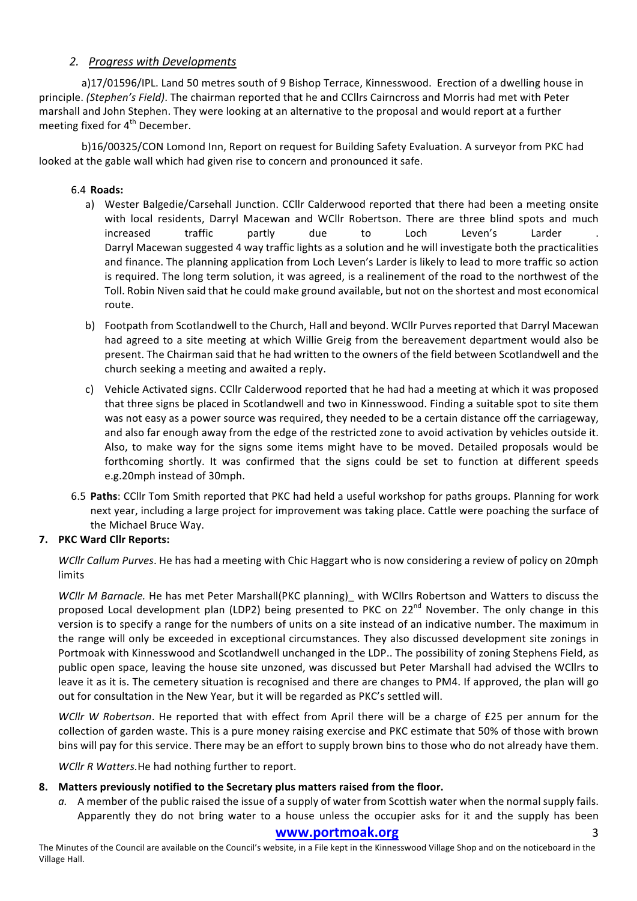# *2. Progress with Developments*

a)17/01596/IPL. Land 50 metres south of 9 Bishop Terrace, Kinnesswood. Erection of a dwelling house in principle. (Stephen's Field). The chairman reported that he and CCllrs Cairncross and Morris had met with Peter marshall and John Stephen. They were looking at an alternative to the proposal and would report at a further meeting fixed for 4<sup>th</sup> December.

b)16/00325/CON Lomond Inn, Report on request for Building Safety Evaluation. A surveyor from PKC had looked at the gable wall which had given rise to concern and pronounced it safe.

#### 6.4 **Roads:**

- a) Wester Balgedie/Carsehall Junction. CCllr Calderwood reported that there had been a meeting onsite with local residents, Darryl Macewan and WCllr Robertson. There are three blind spots and much increased traffic partly due to Loch Leven's Larder . Darryl Macewan suggested 4 way traffic lights as a solution and he will investigate both the practicalities and finance. The planning application from Loch Leven's Larder is likely to lead to more traffic so action is required. The long term solution, it was agreed, is a realinement of the road to the northwest of the Toll. Robin Niven said that he could make ground available, but not on the shortest and most economical route.
- b) Footpath from Scotlandwell to the Church, Hall and beyond. WCllr Purves reported that Darryl Macewan had agreed to a site meeting at which Willie Greig from the bereavement department would also be present. The Chairman said that he had written to the owners of the field between Scotlandwell and the church seeking a meeting and awaited a reply.
- c) Vehicle Activated signs. CCllr Calderwood reported that he had had a meeting at which it was proposed that three signs be placed in Scotlandwell and two in Kinnesswood. Finding a suitable spot to site them was not easy as a power source was required, they needed to be a certain distance off the carriageway, and also far enough away from the edge of the restricted zone to avoid activation by vehicles outside it. Also, to make way for the signs some items might have to be moved. Detailed proposals would be forthcoming shortly. It was confirmed that the signs could be set to function at different speeds e.g.20mph instead of 30mph.
- 6.5 Paths: CCllr Tom Smith reported that PKC had held a useful workshop for paths groups. Planning for work next year, including a large project for improvement was taking place. Cattle were poaching the surface of the Michael Bruce Wav.

# **7.** PKC Ward Cllr Reports:

*WCllr Callum Purves*. He has had a meeting with Chic Haggart who is now considering a review of policy on 20mph limits 

*WCllr M Barnacle.* He has met Peter Marshall(PKC planning) with WCllrs Robertson and Watters to discuss the proposed Local development plan (LDP2) being presented to PKC on 22<sup>nd</sup> November. The only change in this version is to specify a range for the numbers of units on a site instead of an indicative number. The maximum in the range will only be exceeded in exceptional circumstances. They also discussed development site zonings in Portmoak with Kinnesswood and Scotlandwell unchanged in the LDP.. The possibility of zoning Stephens Field, as public open space, leaving the house site unzoned, was discussed but Peter Marshall had advised the WCllrs to leave it as it is. The cemetery situation is recognised and there are changes to PM4. If approved, the plan will go out for consultation in the New Year, but it will be regarded as PKC's settled will.

*WCllr W* Robertson. He reported that with effect from April there will be a charge of £25 per annum for the collection of garden waste. This is a pure money raising exercise and PKC estimate that 50% of those with brown bins will pay for this service. There may be an effort to supply brown bins to those who do not already have them.

*WCllr R Watters.He had nothing further to report.* 

#### 8. Matters previously notified to the Secretary plus matters raised from the floor.

a. A member of the public raised the issue of a supply of water from Scottish water when the normal supply fails. Apparently they do not bring water to a house unless the occupier asks for it and the supply has been

#### **www.portmoak.org** 3

The Minutes of the Council are available on the Council's website, in a File kept in the Kinnesswood Village Shop and on the noticeboard in the Village Hall.